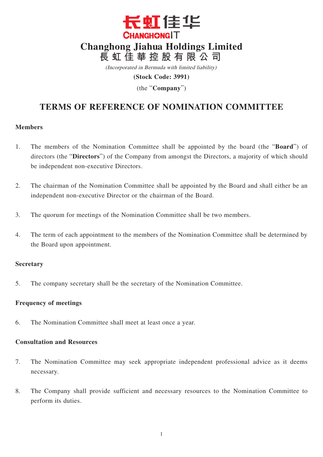

(Incorporated in Bermuda with limited liability)

**(Stock Code: 3991)**

(the "**Company**")

# **TERMS OF REFERENCE OF NOMINATION COMMITTEE**

### **Members**

- 1. The members of the Nomination Committee shall be appointed by the board (the "**Board**") of directors (the "**Directors**") of the Company from amongst the Directors, a majority of which should be independent non-executive Directors.
- 2. The chairman of the Nomination Committee shall be appointed by the Board and shall either be an independent non-executive Director or the chairman of the Board.
- 3. The quorum for meetings of the Nomination Committee shall be two members.
- 4. The term of each appointment to the members of the Nomination Committee shall be determined by the Board upon appointment.

### **Secretary**

5. The company secretary shall be the secretary of the Nomination Committee.

# **Frequency of meetings**

6. The Nomination Committee shall meet at least once a year.

## **Consultation and Resources**

- 7. The Nomination Committee may seek appropriate independent professional advice as it deems necessary.
- 8. The Company shall provide sufficient and necessary resources to the Nomination Committee to perform its duties.